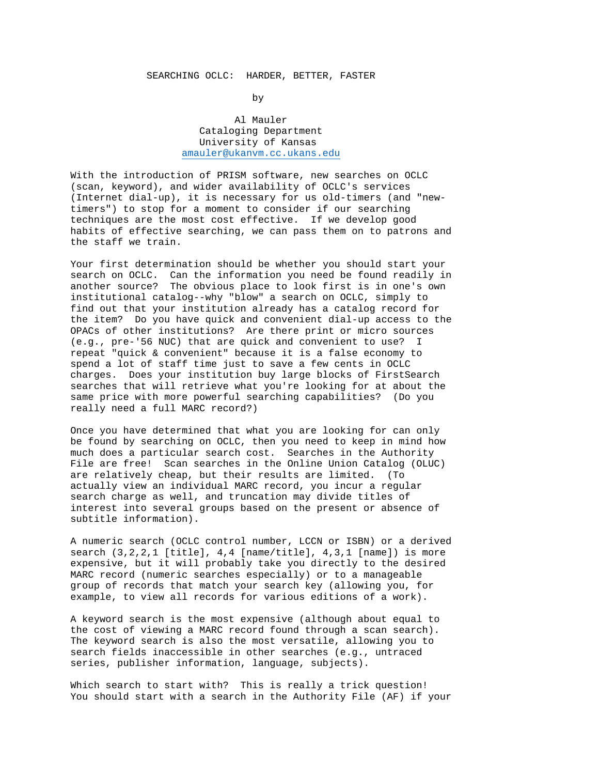## SEARCHING OCLC: HARDER, BETTER, FASTER

by

 Al Mauler Cataloging Department University of Kansas [amauler@ukanvm.cc.ukans.edu](mailto:amauler@ukanvm.cc.ukans.edu)

With the introduction of PRISM software, new searches on OCLC (scan, keyword), and wider availability of OCLC's services (Internet dial-up), it is necessary for us old-timers (and "newtimers") to stop for a moment to consider if our searching techniques are the most cost effective. If we develop good habits of effective searching, we can pass them on to patrons and the staff we train.

Your first determination should be whether you should start your search on OCLC. Can the information you need be found readily in another source? The obvious place to look first is in one's own institutional catalog--why "blow" a search on OCLC, simply to find out that your institution already has a catalog record for the item? Do you have quick and convenient dial-up access to the OPACs of other institutions? Are there print or micro sources (e.g., pre-'56 NUC) that are quick and convenient to use? I repeat "quick & convenient" because it is a false economy to spend a lot of staff time just to save a few cents in OCLC charges. Does your institution buy large blocks of FirstSearch searches that will retrieve what you're looking for at about the same price with more powerful searching capabilities? (Do you really need a full MARC record?)

Once you have determined that what you are looking for can only be found by searching on OCLC, then you need to keep in mind how much does a particular search cost. Searches in the Authority File are free! Scan searches in the Online Union Catalog (OLUC) are relatively cheap, but their results are limited. (To actually view an individual MARC record, you incur a regular search charge as well, and truncation may divide titles of interest into several groups based on the present or absence of subtitle information).

A numeric search (OCLC control number, LCCN or ISBN) or a derived search (3,2,2,1 [title], 4,4 [name/title], 4,3,1 [name]) is more expensive, but it will probably take you directly to the desired MARC record (numeric searches especially) or to a manageable group of records that match your search key (allowing you, for example, to view all records for various editions of a work).

A keyword search is the most expensive (although about equal to the cost of viewing a MARC record found through a scan search). The keyword search is also the most versatile, allowing you to search fields inaccessible in other searches (e.g., untraced series, publisher information, language, subjects).

Which search to start with? This is really a trick question! You should start with a search in the Authority File (AF) if your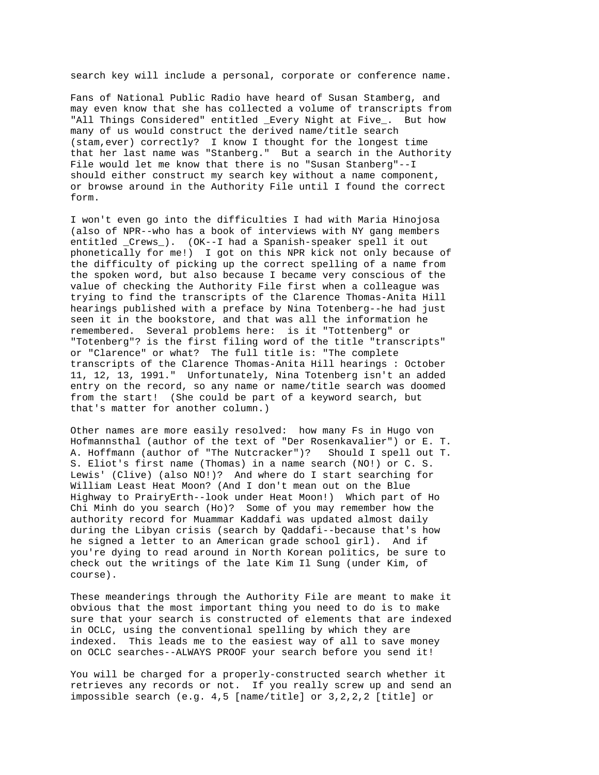search key will include a personal, corporate or conference name.

Fans of National Public Radio have heard of Susan Stamberg, and may even know that she has collected a volume of transcripts from "All Things Considered" entitled \_Every Night at Five\_. But how many of us would construct the derived name/title search (stam,ever) correctly? I know I thought for the longest time that her last name was "Stanberg." But a search in the Authority File would let me know that there is no "Susan Stanberg"--I should either construct my search key without a name component, or browse around in the Authority File until I found the correct form.

I won't even go into the difficulties I had with Maria Hinojosa (also of NPR--who has a book of interviews with NY gang members entitled \_Crews\_). (OK--I had a Spanish-speaker spell it out phonetically for me!) I got on this NPR kick not only because of the difficulty of picking up the correct spelling of a name from the spoken word, but also because I became very conscious of the value of checking the Authority File first when a colleague was trying to find the transcripts of the Clarence Thomas-Anita Hill hearings published with a preface by Nina Totenberg--he had just seen it in the bookstore, and that was all the information he remembered. Several problems here: is it "Tottenberg" or "Totenberg"? is the first filing word of the title "transcripts" or "Clarence" or what? The full title is: "The complete transcripts of the Clarence Thomas-Anita Hill hearings : October 11, 12, 13, 1991." Unfortunately, Nina Totenberg isn't an added entry on the record, so any name or name/title search was doomed from the start! (She could be part of a keyword search, but that's matter for another column.)

Other names are more easily resolved: how many Fs in Hugo von Hofmannsthal (author of the text of "Der Rosenkavalier") or E. T. A. Hoffmann (author of "The Nutcracker")? Should I spell out T. S. Eliot's first name (Thomas) in a name search (NO!) or C. S. Lewis' (Clive) (also NO!)? And where do I start searching for William Least Heat Moon? (And I don't mean out on the Blue Highway to PrairyErth--look under Heat Moon!) Which part of Ho Chi Minh do you search (Ho)? Some of you may remember how the authority record for Muammar Kaddafi was updated almost daily during the Libyan crisis (search by Qaddafi--because that's how he signed a letter to an American grade school girl). And if you're dying to read around in North Korean politics, be sure to check out the writings of the late Kim Il Sung (under Kim, of course).

These meanderings through the Authority File are meant to make it obvious that the most important thing you need to do is to make sure that your search is constructed of elements that are indexed in OCLC, using the conventional spelling by which they are indexed. This leads me to the easiest way of all to save money on OCLC searches--ALWAYS PROOF your search before you send it!

You will be charged for a properly-constructed search whether it retrieves any records or not. If you really screw up and send an impossible search (e.g. 4,5 [name/title] or 3,2,2,2 [title] or